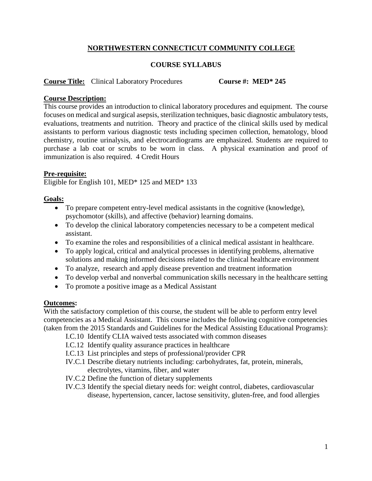# **NORTHWESTERN CONNECTICUT COMMUNITY COLLEGE**

### **COURSE SYLLABUS**

#### **Course Title:** Clinical Laboratory Procedures **Course #: MED\* 245**

### **Course Description:**

This course provides an introduction to clinical laboratory procedures and equipment. The course focuses on medical and surgical asepsis, sterilization techniques, basic diagnostic ambulatory tests, evaluations, treatments and nutrition. Theory and practice of the clinical skills used by medical assistants to perform various diagnostic tests including specimen collection, hematology, blood chemistry, routine urinalysis, and electrocardiograms are emphasized. Students are required to purchase a lab coat or scrubs to be worn in class. A physical examination and proof of immunization is also required. 4 Credit Hours

#### **Pre-requisite:**

Eligible for English 101, MED\* 125 and MED\* 133

## **Goals:**

- To prepare competent entry-level medical assistants in the cognitive (knowledge), psychomotor (skills), and affective (behavior) learning domains.
- To develop the clinical laboratory competencies necessary to be a competent medical assistant.
- To examine the roles and responsibilities of a clinical medical assistant in healthcare.
- To apply logical, critical and analytical processes in identifying problems, alternative solutions and making informed decisions related to the clinical healthcare environment
- To analyze, research and apply disease prevention and treatment information
- To develop verbal and nonverbal communication skills necessary in the healthcare setting
- To promote a positive image as a Medical Assistant

#### **Outcomes:**

With the satisfactory completion of this course, the student will be able to perform entry level competencies as a Medical Assistant. This course includes the following cognitive competencies (taken from the 2015 Standards and Guidelines for the Medical Assisting Educational Programs):

- I.C.10 Identify CLIA waived tests associated with common diseases
- I.C.12 Identify quality assurance practices in healthcare
- I.C.13 List principles and steps of professional/provider CPR
- IV.C.1 Describe dietary nutrients including: carbohydrates, fat, protein, minerals, electrolytes, vitamins, fiber, and water
- IV.C.2 Define the function of dietary supplements
- IV.C.3 Identify the special dietary needs for: weight control, diabetes, cardiovascular disease, hypertension, cancer, lactose sensitivity, gluten-free, and food allergies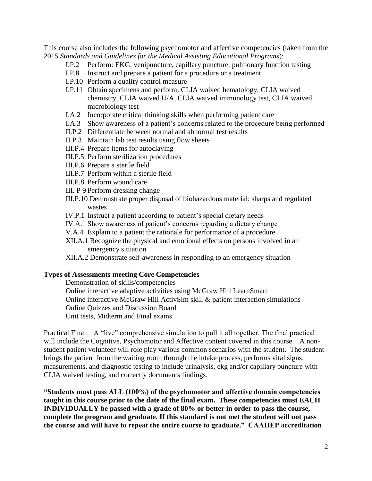This course also includes the following psychomotor and affective competencies (taken from the 2015 *Standards and Guidelines for the Medical Assisting Educational Programs*):

- I.P.2 Perform: EKG, venipuncture, capillary puncture, pulmonary function testing
- I.P.8 Instruct and prepare a patient for a procedure or a treatment
- I.P.10 Perform a quality control measure
- I.P.11 Obtain specimens and perform: CLIA waived hematology, CLIA waived chemistry, CLIA waived U/A, CLIA waived immunology test, CLIA waived microbiology test
- I.A.2 Incorporate critical thinking skills when performing patient care
- I.A.3 Show awareness of a patient's concerns related to the procedure being performed
- II.P.2 Differentiate between normal and abnormal test results
- II.P.3 Maintain lab test results using flow sheets
- III.P.4 Prepare items for autoclaving
- III.P.5 Perform sterilization procedures
- III.P.6 Prepare a sterile field
- III.P.7 Perform within a sterile field
- III.P.8 Perform wound care
- III. P 9 Perform dressing change
- III.P.10 Demonstrate proper disposal of biohazardous material: sharps and regulated wastes
- IV.P.1 Instruct a patient according to patient's special dietary needs
- IV.A.1 Show awareness of patient's concerns regarding a dietary change
- V.A.4 Explain to a patient the rationale for performance of a procedure
- XII.A.1 Recognize the physical and emotional effects on persons involved in an emergency situation
- XII.A.2 Demonstrate self-awareness in responding to an emergency situation

## **Types of Assessments meeting Core Competencies**

Demonstration of skills/competencies Online interactive adaptive activities using McGraw Hill LearnSmart Online interactive McGraw Hill ActivSim skill & patient interaction simulations

- Online Quizzes and Discussion Board
- Unit tests, Midterm and Final exams

Practical Final: A "live" comprehensive simulation to pull it all together. The final practical will include the Cognitive, Psychomotor and Affective content covered in this course. A nonstudent patient volunteer will role play various common scenarios with the student. The student brings the patient from the waiting room through the intake process, performs vital signs, measurements, and diagnostic testing to include urinalysis, ekg and/or capillary puncture with CLIA waived testing, and correctly documents findings.

**"Students must pass ALL (100%) of the psychomotor and affective domain competencies taught in this course prior to the date of the final exam. These competencies must EACH INDIVIDUALLY be passed with a grade of 80% or better in order to pass the course, complete the program and graduate. If this standard is not met the student will not pass the course and will have to repeat the entire course to graduate." CAAHEP accreditation**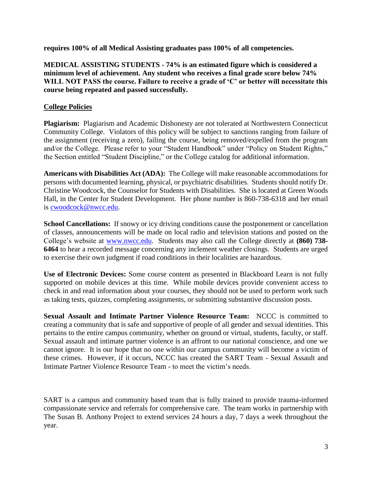**requires 100% of all Medical Assisting graduates pass 100% of all competencies.**

**MEDICAL ASSISTING STUDENTS - 74% is an estimated figure which is considered a minimum level of achievement. Any student who receives a final grade score below 74% WILL NOT PASS the course. Failure to receive a grade of 'C' or better will necessitate this course being repeated and passed successfully.** 

# **College Policies**

**Plagiarism:** Plagiarism and Academic Dishonesty are not tolerated at Northwestern Connecticut Community College. Violators of this policy will be subject to sanctions ranging from failure of the assignment (receiving a zero), failing the course, being removed/expelled from the program and/or the College. Please refer to your "Student Handbook" under "Policy on Student Rights," the Section entitled "Student Discipline," or the College catalog for additional information.

**Americans with Disabilities Act (ADA):** The College will make reasonable accommodations for persons with documented learning, physical, or psychiatric disabilities. Students should notify Dr. Christine Woodcock, the Counselor for Students with Disabilities. She is located at Green Woods Hall, in the Center for Student Development. Her phone number is 860-738-6318 and her email is [cwoodcock@nwcc.edu.](mailto:cwoodcock@nwcc.edu)

**School Cancellations:** If snowy or icy driving conditions cause the postponement or cancellation of classes, announcements will be made on local radio and television stations and posted on the College's website at [www.nwcc.edu.](http://www.nwcc.edu/) Students may also call the College directly at **(860) 738- 6464** to hear a recorded message concerning any inclement weather closings. Students are urged to exercise their own judgment if road conditions in their localities are hazardous.

**Use of Electronic Devices:** Some course content as presented in Blackboard Learn is not fully supported on mobile devices at this time. While mobile devices provide convenient access to check in and read information about your courses, they should not be used to perform work such as taking tests, quizzes, completing assignments, or submitting substantive discussion posts.

**Sexual Assault and Intimate Partner Violence Resource Team:** NCCC is committed to creating a community that is safe and supportive of people of all gender and sexual identities. This pertains to the entire campus community, whether on ground or virtual, students, faculty, or staff. Sexual assault and intimate partner violence is an affront to our national conscience, and one we cannot ignore. It is our hope that no one within our campus community will become a victim of these crimes. However, if it occurs, NCCC has created the SART Team - Sexual Assault and Intimate Partner Violence Resource Team - to meet the victim's needs.

SART is a campus and community based team that is fully trained to provide trauma-informed compassionate service and referrals for comprehensive care. The team works in partnership with The Susan B. Anthony Project to extend services 24 hours a day, 7 days a week throughout the year.